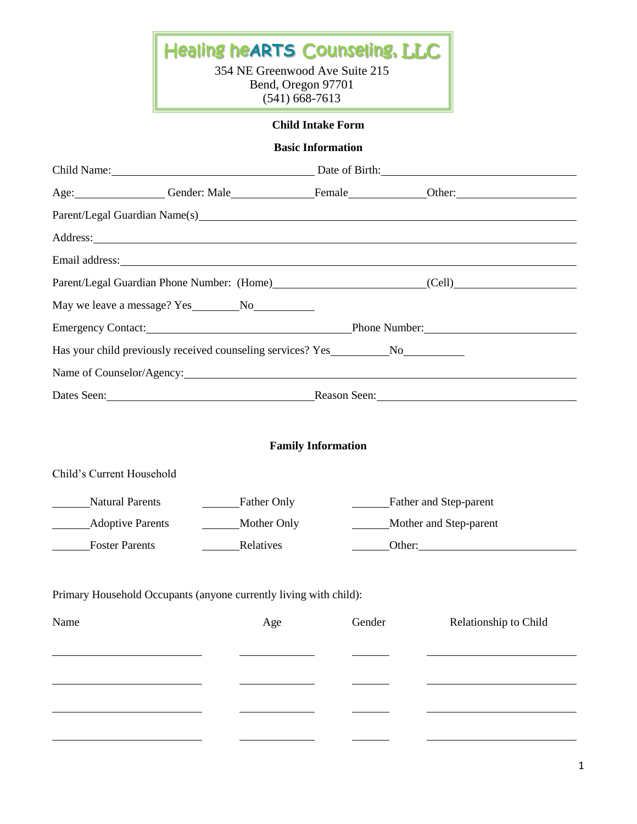# Healing he**ARTS** Counseling, LLC

354 NE Greenwood Ave Suite 215 Bend, Oregon 97701 (541) 668-7613

### **Child Intake Form**

#### **Basic Information**

|                                              |                                                                   | Child Name: Date of Birth: Date of Birth: |        |                                                                                                                                                                                                                                   |  |  |
|----------------------------------------------|-------------------------------------------------------------------|-------------------------------------------|--------|-----------------------------------------------------------------------------------------------------------------------------------------------------------------------------------------------------------------------------------|--|--|
|                                              |                                                                   |                                           |        | Age: Gender: Male Gender: Male <b>Example 1998</b> Communication Communication Communication Communication Communication Communication Communication Communication Communication Communication Communication Communication Commun |  |  |
|                                              |                                                                   |                                           |        |                                                                                                                                                                                                                                   |  |  |
|                                              |                                                                   |                                           |        | Address: and the contract of the contract of the contract of the contract of the contract of the contract of the contract of the contract of the contract of the contract of the contract of the contract of the contract of t    |  |  |
|                                              |                                                                   |                                           |        | Email address: Note that the contract of the contract of the contract of the contract of the contract of the contract of the contract of the contract of the contract of the contract of the contract of the contract of the c    |  |  |
|                                              |                                                                   |                                           |        | Parent/Legal Guardian Phone Number: (Home) (Cell) (Cell)                                                                                                                                                                          |  |  |
|                                              |                                                                   |                                           |        |                                                                                                                                                                                                                                   |  |  |
|                                              | Emergency Contact: Phone Number: Phone Number:                    |                                           |        |                                                                                                                                                                                                                                   |  |  |
|                                              | Has your child previously received counseling services? Yes No No |                                           |        |                                                                                                                                                                                                                                   |  |  |
|                                              |                                                                   |                                           |        | Name of Counselor/Agency: 2008 and 2008 and 2008 and 2008 and 2008 and 2008 and 2008 and 2008 and 2008 and 200                                                                                                                    |  |  |
|                                              | Dates Seen: Reason Seen: Reason Seen:                             |                                           |        |                                                                                                                                                                                                                                   |  |  |
| Child's Current Household<br>Natural Parents |                                                                   | <b>Family Information</b><br>Father Only  |        | Father and Step-parent                                                                                                                                                                                                            |  |  |
| <b>Adoptive Parents</b>                      |                                                                   | Mother Only                               |        | Mother and Step-parent                                                                                                                                                                                                            |  |  |
| Foster Parents<br>$\mathcal{L}^{\text{max}}$ |                                                                   | Relatives                                 |        | $\qquad$ Other:                                                                                                                                                                                                                   |  |  |
|                                              |                                                                   |                                           |        |                                                                                                                                                                                                                                   |  |  |
|                                              | Primary Household Occupants (anyone currently living with child): |                                           |        |                                                                                                                                                                                                                                   |  |  |
| Name                                         |                                                                   | Age                                       | Gender | Relationship to Child                                                                                                                                                                                                             |  |  |
|                                              |                                                                   |                                           |        |                                                                                                                                                                                                                                   |  |  |
|                                              |                                                                   |                                           |        |                                                                                                                                                                                                                                   |  |  |
|                                              |                                                                   |                                           |        |                                                                                                                                                                                                                                   |  |  |
|                                              |                                                                   |                                           |        |                                                                                                                                                                                                                                   |  |  |
|                                              |                                                                   |                                           |        |                                                                                                                                                                                                                                   |  |  |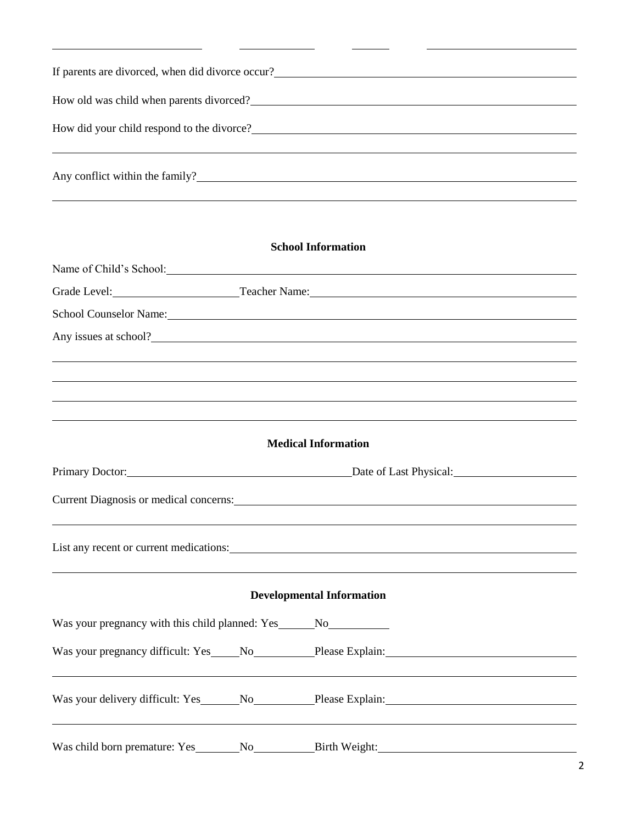| If parents are divorced, when did divorce occur? |
|--------------------------------------------------|
| How old was child when parents divorced?         |
| How did your child respond to the divorce?       |
| Any conflict within the family?                  |

## **School Information**

|                                                                                  |                                          | Name of Child's School: Name of Child's School:                                                                                                                                                                                |  |  |  |
|----------------------------------------------------------------------------------|------------------------------------------|--------------------------------------------------------------------------------------------------------------------------------------------------------------------------------------------------------------------------------|--|--|--|
|                                                                                  | Grade Level: Teacher Name: Teacher Name: |                                                                                                                                                                                                                                |  |  |  |
|                                                                                  |                                          | School Counselor Name: Name: Name: Name: Name: Name: Name: Name: Name: Name: Name: Name: Name: Name: Name: Name: Name: Name: Name: Name: Name: Name: Name: Name: Name: Name: Name: Name: Name: Name: Name: Name: Name: Name: N |  |  |  |
|                                                                                  |                                          | Any issues at school?                                                                                                                                                                                                          |  |  |  |
|                                                                                  |                                          |                                                                                                                                                                                                                                |  |  |  |
|                                                                                  |                                          |                                                                                                                                                                                                                                |  |  |  |
|                                                                                  |                                          | ,我们也不会有什么。""我们的人,我们也不会有什么?""我们的人,我们也不会有什么?""我们的人,我们也不会有什么?""我们的人,我们也不会有什么?""我们的人                                                                                                                                               |  |  |  |
|                                                                                  |                                          |                                                                                                                                                                                                                                |  |  |  |
|                                                                                  |                                          | <b>Medical Information</b>                                                                                                                                                                                                     |  |  |  |
| Primary Doctor: Date of Last Physical: Date of Last Physical:                    |                                          |                                                                                                                                                                                                                                |  |  |  |
|                                                                                  |                                          |                                                                                                                                                                                                                                |  |  |  |
|                                                                                  |                                          |                                                                                                                                                                                                                                |  |  |  |
|                                                                                  |                                          | List any recent or current medications: 1000 medications and the state of the state of the state of the state of the state of the state of the state of the state of the state of the state of the state of the state of the s |  |  |  |
|                                                                                  |                                          |                                                                                                                                                                                                                                |  |  |  |
|                                                                                  |                                          | <b>Developmental Information</b>                                                                                                                                                                                               |  |  |  |
| Was your pregnancy with this child planned: Yes_________________________________ |                                          |                                                                                                                                                                                                                                |  |  |  |
|                                                                                  |                                          | Was your pregnancy difficult: Yes____No________Please Explain:___________________                                                                                                                                              |  |  |  |
|                                                                                  |                                          |                                                                                                                                                                                                                                |  |  |  |
|                                                                                  |                                          |                                                                                                                                                                                                                                |  |  |  |
|                                                                                  |                                          | ,我们也不会有什么。""我们的人,我们也不会有什么?""我们的人,我们也不会有什么?""我们的人,我们也不会有什么?""我们的人,我们也不会有什么?""我们的人                                                                                                                                               |  |  |  |
|                                                                                  |                                          | Was child born premature: Yes_______No___________Birth Weight:___________________                                                                                                                                              |  |  |  |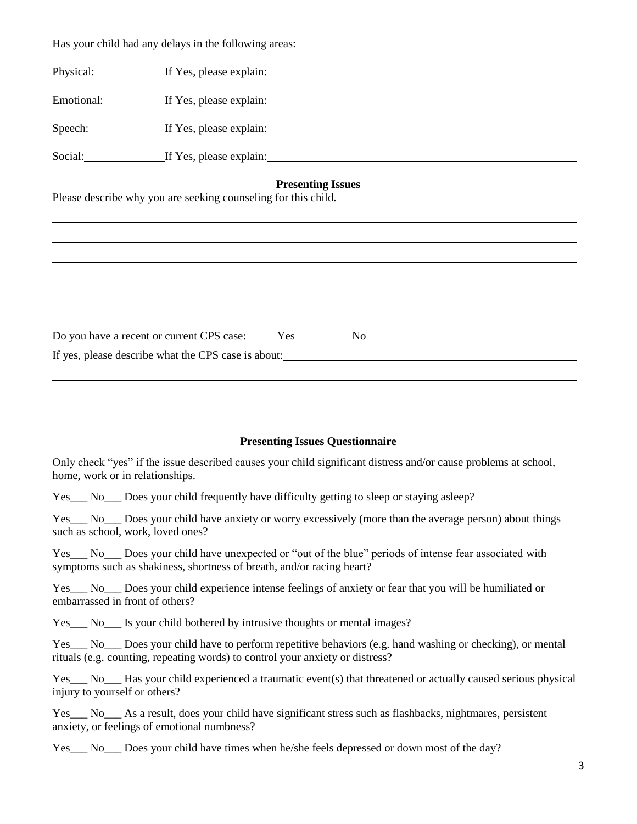|                                   | Has your child had any delays in the following areas:                                                                                                                                                                          |
|-----------------------------------|--------------------------------------------------------------------------------------------------------------------------------------------------------------------------------------------------------------------------------|
|                                   | Physical: If Yes, please explain: If Yes, also explain:                                                                                                                                                                        |
|                                   | Emotional: <u>If Yes, please explain:</u> If Yes, please explain:                                                                                                                                                              |
|                                   | Speech: If Yes, please explain: 15 and 20 and 20 and 20 and 20 and 20 and 20 and 20 and 20 and 20 and 20 and 20 and 20 and 20 and 20 and 20 and 20 and 20 and 20 and 20 and 20 and 20 and 20 and 20 and 20 and 20 and 20 and 2 |
|                                   | Social: If Yes, please explain:                                                                                                                                                                                                |
|                                   | <b>Presenting Issues</b>                                                                                                                                                                                                       |
|                                   |                                                                                                                                                                                                                                |
|                                   |                                                                                                                                                                                                                                |
|                                   |                                                                                                                                                                                                                                |
|                                   |                                                                                                                                                                                                                                |
|                                   |                                                                                                                                                                                                                                |
|                                   | Do you have a recent or current CPS case: Ves No                                                                                                                                                                               |
|                                   | If yes, please describe what the CPS case is about:                                                                                                                                                                            |
|                                   |                                                                                                                                                                                                                                |
|                                   |                                                                                                                                                                                                                                |
|                                   |                                                                                                                                                                                                                                |
|                                   | <b>Presenting Issues Questionnaire</b>                                                                                                                                                                                         |
| home, work or in relationships.   | Only check "yes" if the issue described causes your child significant distress and/or cause problems at school,                                                                                                                |
|                                   | Yes No Does your child frequently have difficulty getting to sleep or staying asleep?                                                                                                                                          |
| such as school, work, loved ones? | Yes No Does your child have anxiety or worry excessively (more than the average person) about things                                                                                                                           |
|                                   | Yes No Does your child have unexpected or "out of the blue" periods of intense fear associated with<br>symptoms such as shakiness, shortness of breath, and/or racing heart?                                                   |
| embarrassed in front of others?   | Yes No Does your child experience intense feelings of anxiety or fear that you will be humiliated or                                                                                                                           |
|                                   | Yes___ No___ Is your child bothered by intrusive thoughts or mental images?                                                                                                                                                    |
|                                   | Yes No Does your child have to perform repetitive behaviors (e.g. hand washing or checking), or mental<br>rituals (e.g. counting, repeating words) to control your anxiety or distress?                                        |
| injury to yourself or others?     | $Yes$ No Ras your child experienced a traumatic event(s) that threatened or actually caused serious physical                                                                                                                   |

Yes\_\_\_ No\_\_\_ As a result, does your child have significant stress such as flashbacks, nightmares, persistent anxiety, or feelings of emotional numbness?

Yes\_\_\_ No\_\_\_ Does your child have times when he/she feels depressed or down most of the day?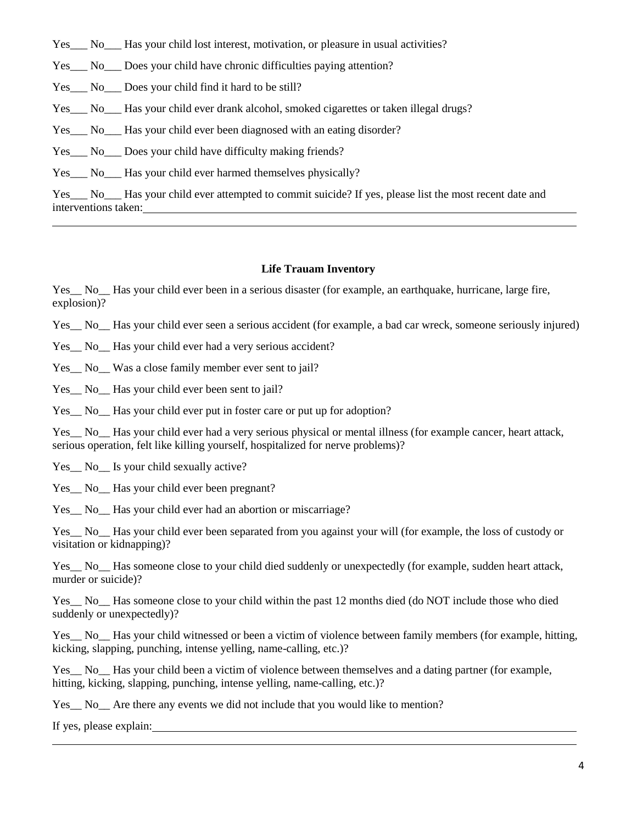- Yes No Has your child lost interest, motivation, or pleasure in usual activities?
- Yes No Does your child have chronic difficulties paying attention?
- Yes No Does your child find it hard to be still?
- Yes\_\_\_ No\_\_\_ Has your child ever drank alcohol, smoked cigarettes or taken illegal drugs?
- Yes No Has your child ever been diagnosed with an eating disorder?
- Yes No Does your child have difficulty making friends?
- Yes No<sub>\_\_\_</sub> Has your child ever harmed themselves physically?

Yes No Has your child ever attempted to commit suicide? If yes, please list the most recent date and interventions taken:

#### **Life Trauam Inventory**

Yes\_\_ No\_\_ Has your child ever been in a serious disaster (for example, an earthquake, hurricane, large fire, explosion)?

Yes No Has your child ever seen a serious accident (for example, a bad car wreck, someone seriously injured)

Yes\_No\_Has your child ever had a very serious accident?

Yes No Was a close family member ever sent to jail?

Yes<sub>\_</sub> No<sub>\_</sub> Has your child ever been sent to jail?

Yes\_\_ No\_\_ Has your child ever put in foster care or put up for adoption?

Yes\_ No\_Has your child ever had a very serious physical or mental illness (for example cancer, heart attack, serious operation, felt like killing yourself, hospitalized for nerve problems)?

Yes No Is your child sexually active?

Yes<sub>\_</sub> No<sub>\_</sub> Has your child ever been pregnant?

Yes\_\_ No\_\_ Has your child ever had an abortion or miscarriage?

Yes\_\_ No\_\_ Has your child ever been separated from you against your will (for example, the loss of custody or visitation or kidnapping)?

Yes No Has someone close to your child died suddenly or unexpectedly (for example, sudden heart attack, murder or suicide)?

Yes\_\_ No\_\_ Has someone close to your child within the past 12 months died (do NOT include those who died suddenly or unexpectedly)?

Yes\_\_ No\_\_ Has your child witnessed or been a victim of violence between family members (for example, hitting, kicking, slapping, punching, intense yelling, name-calling, etc.)?

Yes No Has your child been a victim of violence between themselves and a dating partner (for example, hitting, kicking, slapping, punching, intense yelling, name-calling, etc.)?

Yes\_\_ No\_\_ Are there any events we did not include that you would like to mention?

If yes, please explain: